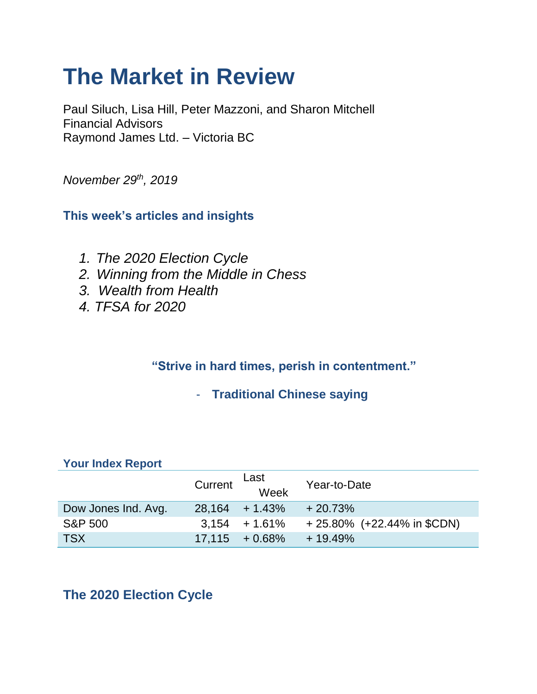# **The Market in Review**

Paul Siluch, Lisa Hill, Peter Mazzoni, and Sharon Mitchell Financial Advisors Raymond James Ltd. – Victoria BC

*November 29th, 2019*

**This week's articles and insights**

- *1. The 2020 Election Cycle*
- *2. Winning from the Middle in Chess*
- *3. Wealth from Health*
- *4. TFSA for 2020*

## **"Strive in hard times, perish in contentment."**

- **Traditional Chinese saying** 

#### **Your Index Report**

|                     | Current | Last<br>Week      | Year-to-Date                  |
|---------------------|---------|-------------------|-------------------------------|
| Dow Jones Ind. Avg. |         | $28,164 + 1.43\%$ | $+20.73%$                     |
| <b>S&amp;P 500</b>  |         | $3.154 + 1.61\%$  | $+25.80\%$ (+22.44% in \$CDN) |
| <b>TSX</b>          |         | $17,115 + 0.68\%$ | $+19.49%$                     |

# **The 2020 Election Cycle**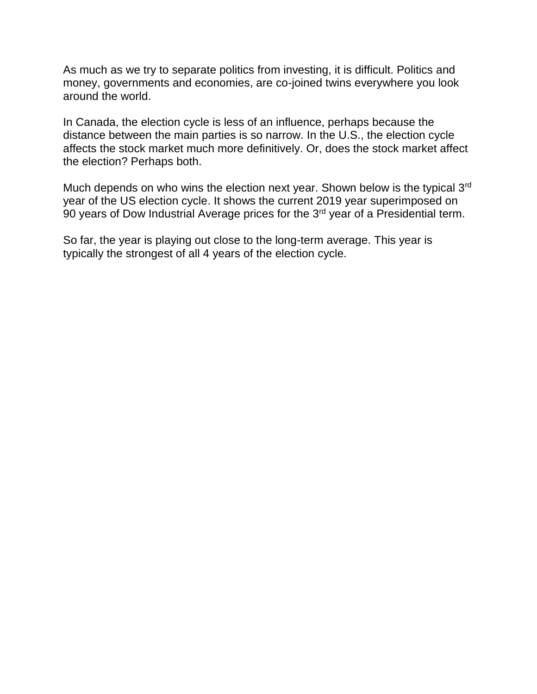As much as we try to separate politics from investing, it is difficult. Politics and money, governments and economies, are co-joined twins everywhere you look around the world.

In Canada, the election cycle is less of an influence, perhaps because the distance between the main parties is so narrow. In the U.S., the election cycle affects the stock market much more definitively. Or, does the stock market affect the election? Perhaps both.

Much depends on who wins the election next year. Shown below is the typical 3<sup>rd</sup> year of the US election cycle. It shows the current 2019 year superimposed on 90 years of Dow Industrial Average prices for the 3rd year of a Presidential term.

So far, the year is playing out close to the long-term average. This year is typically the strongest of all 4 years of the election cycle.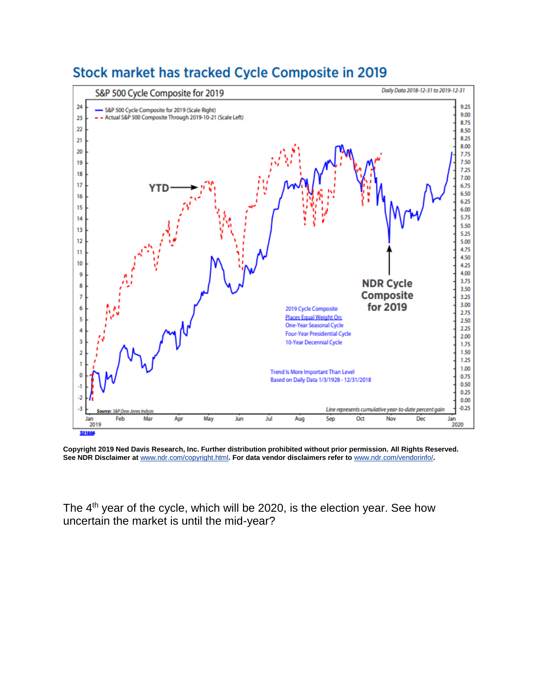

# Stock market has tracked Cycle Composite in 2019

**Copyright 2019 Ned Davis Research, Inc. Further distribution prohibited without prior permission. All Rights Reserved. See NDR Disclaimer at** [www.ndr.com/copyright.html](https://urldefense.proofpoint.com/v2/url?u=http-3A__www.ndr.com_copyright.html&d=DwMGaQ&c=K3dQCUGiI1B95NJ6cl3GoyhMW2dvBOfimZA-83UXll0&r=_6MBBSGYsFznIBwslhTiqBKEz4pHUCTd_9tbh_EpUMY&m=Qf0gO8h3XFpDqQznop4DPAfixEzZa0l39ttsHFwOTKo&s=4P6TQGxLgfhRJ37ZloaINJJjJRDTLXKDkFJXoc1ikrw&e=)**. For data vendor disclaimers refer to** [www.ndr.com/vendorinfo/](https://urldefense.proofpoint.com/v2/url?u=http-3A__www.ndr.com_vendorinfo_&d=DwMGaQ&c=K3dQCUGiI1B95NJ6cl3GoyhMW2dvBOfimZA-83UXll0&r=_6MBBSGYsFznIBwslhTiqBKEz4pHUCTd_9tbh_EpUMY&m=Qf0gO8h3XFpDqQznop4DPAfixEzZa0l39ttsHFwOTKo&s=r_A0_a_Wd74ObkwiiGTL93tKB1I428KkxYKr_-ke0R8&e=)**.**

The 4<sup>th</sup> year of the cycle, which will be 2020, is the election year. See how uncertain the market is until the mid-year?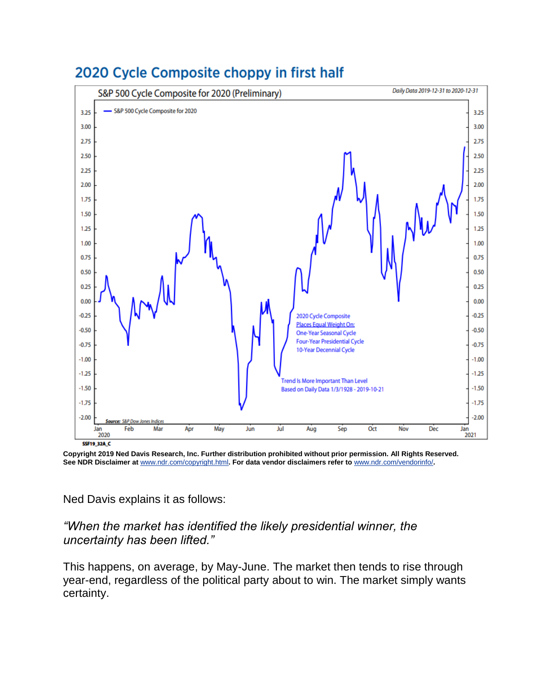

# 2020 Cycle Composite choppy in first half

**Copyright 2019 Ned Davis Research, Inc. Further distribution prohibited without prior permission. All Rights Reserved. See NDR Disclaimer at** [www.ndr.com/copyright.html](https://urldefense.proofpoint.com/v2/url?u=http-3A__www.ndr.com_copyright.html&d=DwMGaQ&c=K3dQCUGiI1B95NJ6cl3GoyhMW2dvBOfimZA-83UXll0&r=_6MBBSGYsFznIBwslhTiqBKEz4pHUCTd_9tbh_EpUMY&m=Qf0gO8h3XFpDqQznop4DPAfixEzZa0l39ttsHFwOTKo&s=4P6TQGxLgfhRJ37ZloaINJJjJRDTLXKDkFJXoc1ikrw&e=)**. For data vendor disclaimers refer to** [www.ndr.com/vendorinfo/](https://urldefense.proofpoint.com/v2/url?u=http-3A__www.ndr.com_vendorinfo_&d=DwMGaQ&c=K3dQCUGiI1B95NJ6cl3GoyhMW2dvBOfimZA-83UXll0&r=_6MBBSGYsFznIBwslhTiqBKEz4pHUCTd_9tbh_EpUMY&m=Qf0gO8h3XFpDqQznop4DPAfixEzZa0l39ttsHFwOTKo&s=r_A0_a_Wd74ObkwiiGTL93tKB1I428KkxYKr_-ke0R8&e=)**.**

#### Ned Davis explains it as follows:

#### *"When the market has identified the likely presidential winner, the uncertainty has been lifted."*

This happens, on average, by May-June. The market then tends to rise through year-end, regardless of the political party about to win. The market simply wants certainty.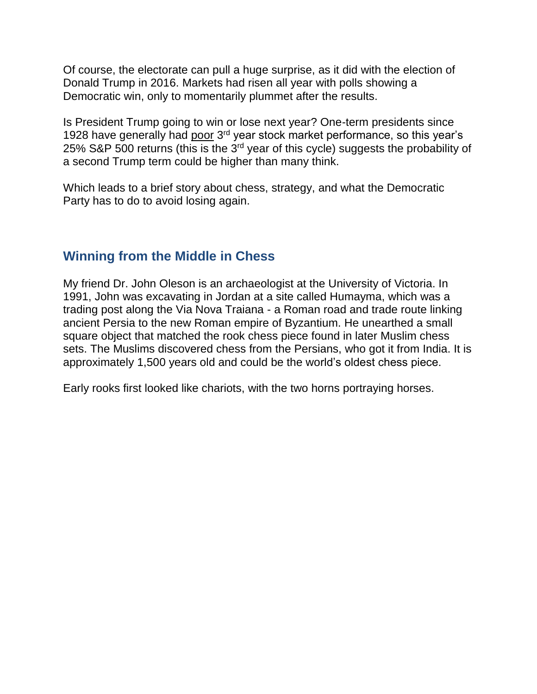Of course, the electorate can pull a huge surprise, as it did with the election of Donald Trump in 2016. Markets had risen all year with polls showing a Democratic win, only to momentarily plummet after the results.

Is President Trump going to win or lose next year? One-term presidents since 1928 have generally had poor 3<sup>rd</sup> year stock market performance, so this year's 25% S&P 500 returns (this is the 3rd year of this cycle) suggests the probability of a second Trump term could be higher than many think.

Which leads to a brief story about chess, strategy, and what the Democratic Party has to do to avoid losing again.

### **Winning from the Middle in Chess**

My friend Dr. John Oleson is an archaeologist at the University of Victoria. In 1991, John was excavating in Jordan at a site called Humayma, which was a trading post along the Via Nova Traiana - a Roman road and trade route linking ancient Persia to the new Roman empire of Byzantium. He unearthed a small square object that matched the rook chess piece found in later Muslim chess sets. The Muslims discovered chess from the Persians, who got it from India. It is approximately 1,500 years old and could be the world's oldest chess piece.

Early rooks first looked like chariots, with the two horns portraying horses.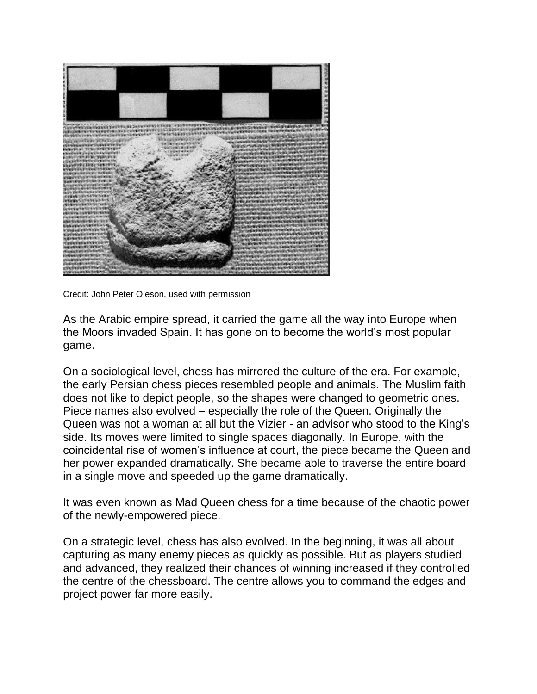

Credit: John Peter Oleson, used with permission

As the Arabic empire spread, it carried the game all the way into Europe when the Moors invaded Spain. It has gone on to become the world's most popular game.

On a sociological level, chess has mirrored the culture of the era. For example, the early Persian chess pieces resembled people and animals. The Muslim faith does not like to depict people, so the shapes were changed to geometric ones. Piece names also evolved – especially the role of the Queen. Originally the Queen was not a woman at all but the Vizier - an advisor who stood to the King's side. Its moves were limited to single spaces diagonally. In Europe, with the coincidental rise of women's influence at court, the piece became the Queen and her power expanded dramatically. She became able to traverse the entire board in a single move and speeded up the game dramatically.

It was even known as Mad Queen chess for a time because of the chaotic power of the newly-empowered piece.

On a strategic level, chess has also evolved. In the beginning, it was all about capturing as many enemy pieces as quickly as possible. But as players studied and advanced, they realized their chances of winning increased if they controlled the centre of the chessboard. The centre allows you to command the edges and project power far more easily.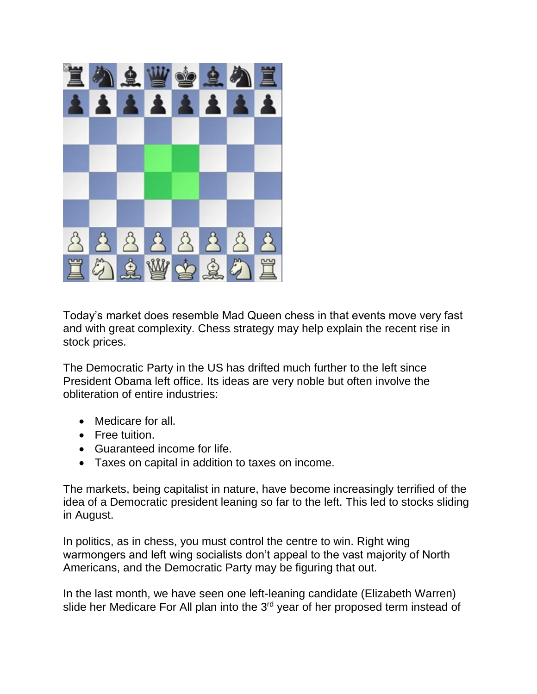

Today's market does resemble Mad Queen chess in that events move very fast and with great complexity. Chess strategy may help explain the recent rise in stock prices.

The Democratic Party in the US has drifted much further to the left since President Obama left office. Its ideas are very noble but often involve the obliteration of entire industries:

- Medicare for all.
- Free tuition.
- Guaranteed income for life.
- Taxes on capital in addition to taxes on income.

The markets, being capitalist in nature, have become increasingly terrified of the idea of a Democratic president leaning so far to the left. This led to stocks sliding in August.

In politics, as in chess, you must control the centre to win. Right wing warmongers and left wing socialists don't appeal to the vast majority of North Americans, and the Democratic Party may be figuring that out.

In the last month, we have seen one left-leaning candidate (Elizabeth Warren) slide her Medicare For All plan into the 3<sup>rd</sup> year of her proposed term instead of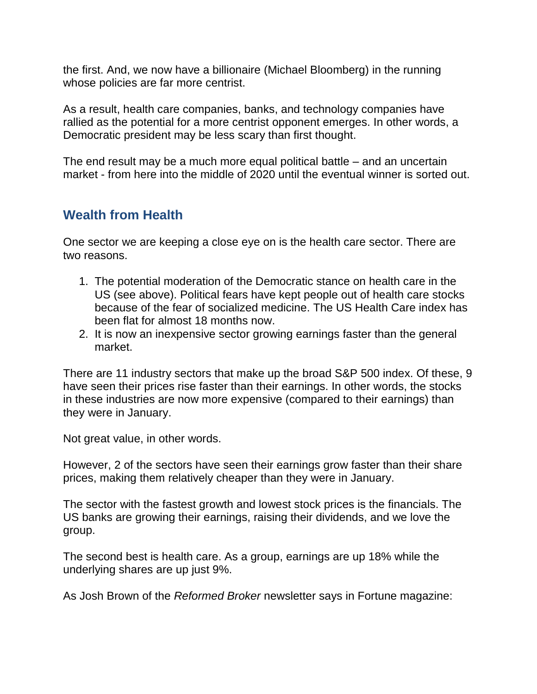the first. And, we now have a billionaire (Michael Bloomberg) in the running whose policies are far more centrist.

As a result, health care companies, banks, and technology companies have rallied as the potential for a more centrist opponent emerges. In other words, a Democratic president may be less scary than first thought.

The end result may be a much more equal political battle – and an uncertain market - from here into the middle of 2020 until the eventual winner is sorted out.

### **Wealth from Health**

One sector we are keeping a close eye on is the health care sector. There are two reasons.

- 1. The potential moderation of the Democratic stance on health care in the US (see above). Political fears have kept people out of health care stocks because of the fear of socialized medicine. The US Health Care index has been flat for almost 18 months now.
- 2. It is now an inexpensive sector growing earnings faster than the general market.

There are 11 industry sectors that make up the broad S&P 500 index. Of these, 9 have seen their prices rise faster than their earnings. In other words, the stocks in these industries are now more expensive (compared to their earnings) than they were in January.

Not great value, in other words.

However, 2 of the sectors have seen their earnings grow faster than their share prices, making them relatively cheaper than they were in January.

The sector with the fastest growth and lowest stock prices is the financials. The US banks are growing their earnings, raising their dividends, and we love the group.

The second best is health care. As a group, earnings are up 18% while the underlying shares are up just 9%.

As Josh Brown of the *Reformed Broker* newsletter says in Fortune magazine: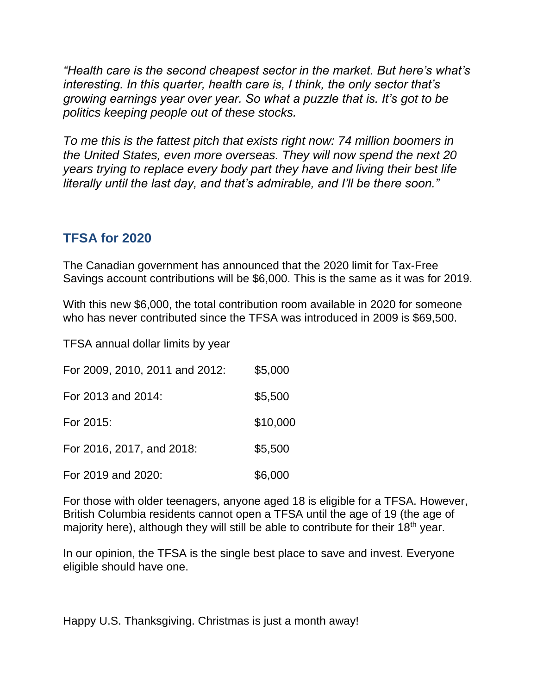*"Health care is the second cheapest sector in the market. But here's what's interesting. In this quarter, health care is, I think, the only sector that's growing earnings year over year. So what a puzzle that is. It's got to be politics keeping people out of these stocks.*

*To me this is the fattest pitch that exists right now: 74 million boomers in the United States, even more overseas. They will now spend the next 20 years trying to replace every body part they have and living their best life literally until the last day, and that's admirable, and I'll be there soon."*

## **TFSA for 2020**

The Canadian government has announced that the 2020 limit for Tax-Free Savings account contributions will be \$6,000. This is the same as it was for 2019.

With this new \$6,000, the total contribution room available in 2020 for someone who has never contributed since the TFSA was introduced in 2009 is \$69,500.

TFSA annual dollar limits by year

| For 2009, 2010, 2011 and 2012: | \$5,000  |
|--------------------------------|----------|
| For 2013 and 2014:             | \$5,500  |
| For 2015:                      | \$10,000 |
| For 2016, 2017, and 2018:      | \$5,500  |
| For 2019 and 2020:             | \$6,000  |

For those with older teenagers, anyone aged 18 is eligible for a TFSA. However, British Columbia residents cannot open a TFSA until the age of 19 (the age of majority here), although they will still be able to contribute for their 18<sup>th</sup> year.

In our opinion, the TFSA is the single best place to save and invest. Everyone eligible should have one.

Happy U.S. Thanksgiving. Christmas is just a month away!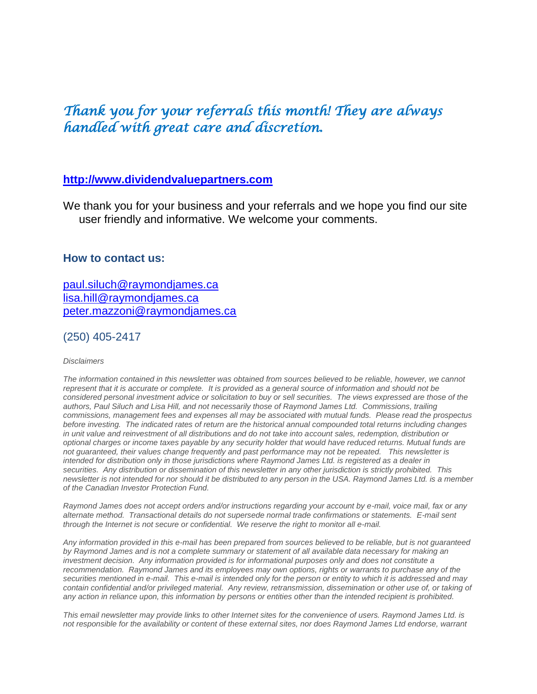# *Thank you for your referrals this month! They are always handled with great care and discretion.*

#### **[http://www.dividendvaluepartners.com](https://urldefense.proofpoint.com/v2/url?u=http-3A__www.dividendvaluepartners.com&d=DwMFAw&c=K3dQCUGiI1B95NJ6cl3GoyhMW2dvBOfimZA-83UXll0&r=_6MBBSGYsFznIBwslhTiqBKEz4pHUCTd_9tbh_EpUMY&m=scBAtuMDuWZwK1IVr5YXjdB6aRS-faGHAMq3jOn6sJU&s=enZqe4ZgcjH_33x5dT-vZq9A37d4AhNkXvjc6AbmYww&e=)**

We thank you for your business and your referrals and we hope you find our site user friendly and informative. We welcome your comments.

#### **How to contact us:**

[paul.siluch@raymondjames.ca](https://owa-kel.raymondjames.ca/owa/redir.aspx?SURL=z0BxOCXDlQ-Aad1f_a9igaARxm5Rd1VXE7UcmD4mZ3IZiacj7DPTCG0AYQBpAGwAdABvADoAcABhAHUAbAAuAHMAaQBsAHUAYwBoAEAAcgBhAHkAbQBvAG4AZABqAGEAbQBlAHMALgBjAGEA&URL=mailto%3apaul.siluch%40raymondjames.ca) [lisa.hill@raymondjames.ca](https://owa-kel.raymondjames.ca/owa/redir.aspx?SURL=glaBgdTdxPMFpiw4eumg-PzZXpo9vJyObrXLs1TKtIAZiacj7DPTCG0AYQBpAGwAdABvADoAbABpAHMAYQAuAGgAaQBsAGwAQAByAGEAeQBtAG8AbgBkAGoAYQBtAGUAcwAuAGMAYQA.&URL=mailto%3alisa.hill%40raymondjames.ca) [peter.mazzoni@raymondjames.ca](https://owa-kel.raymondjames.ca/owa/redir.aspx?SURL=3c7mDL9-cZxYXt7CvkOu20QVFy1WCaDQxUZ3BQE6vecZiacj7DPTCG0AYQBpAGwAdABvADoAcABlAHQAZQByAC4AbQBhAHoAegBvAG4AaQBAAHIAYQB5AG0AbwBuAGQAagBhAG0AZQBzAC4AYwBhAA..&URL=mailto%3apeter.mazzoni%40raymondjames.ca)

(250) 405-2417

#### *Disclaimers*

*[The information contained in this newsletter was obtained from sources believed to be reliable, however, we cannot](https://owa-kel.raymondjames.ca/owa/redir.aspx?SURL=z0BxOCXDlQ-Aad1f_a9igaARxm5Rd1VXE7UcmD4mZ3IZiacj7DPTCG0AYQBpAGwAdABvADoAcABhAHUAbAAuAHMAaQBsAHUAYwBoAEAAcgBhAHkAbQBvAG4AZABqAGEAbQBlAHMALgBjAGEA&URL=mailto%3apaul.siluch%40raymondjames.ca)  represent that it is accurate or complete. [It is provided as a general source of information and should not be](https://owa-kel.raymondjames.ca/owa/redir.aspx?SURL=z0BxOCXDlQ-Aad1f_a9igaARxm5Rd1VXE7UcmD4mZ3IZiacj7DPTCG0AYQBpAGwAdABvADoAcABhAHUAbAAuAHMAaQBsAHUAYwBoAEAAcgBhAHkAbQBvAG4AZABqAGEAbQBlAHMALgBjAGEA&URL=mailto%3apaul.siluch%40raymondjames.ca)  [considered personal investment advice or solicitation to buy or sell securities.](https://owa-kel.raymondjames.ca/owa/redir.aspx?SURL=z0BxOCXDlQ-Aad1f_a9igaARxm5Rd1VXE7UcmD4mZ3IZiacj7DPTCG0AYQBpAGwAdABvADoAcABhAHUAbAAuAHMAaQBsAHUAYwBoAEAAcgBhAHkAbQBvAG4AZABqAGEAbQBlAHMALgBjAGEA&URL=mailto%3apaul.siluch%40raymondjames.ca) The views expressed are those of the [authors, Paul Siluch and Lisa Hill, and not necessarily those of Raymond James Ltd.](https://owa-kel.raymondjames.ca/owa/redir.aspx?SURL=z0BxOCXDlQ-Aad1f_a9igaARxm5Rd1VXE7UcmD4mZ3IZiacj7DPTCG0AYQBpAGwAdABvADoAcABhAHUAbAAuAHMAaQBsAHUAYwBoAEAAcgBhAHkAbQBvAG4AZABqAGEAbQBlAHMALgBjAGEA&URL=mailto%3apaul.siluch%40raymondjames.ca) Commissions, trailing [commissions, management fees and expenses all may be associated with mutual funds.](https://owa-kel.raymondjames.ca/owa/redir.aspx?SURL=z0BxOCXDlQ-Aad1f_a9igaARxm5Rd1VXE7UcmD4mZ3IZiacj7DPTCG0AYQBpAGwAdABvADoAcABhAHUAbAAuAHMAaQBsAHUAYwBoAEAAcgBhAHkAbQBvAG4AZABqAGEAbQBlAHMALgBjAGEA&URL=mailto%3apaul.siluch%40raymondjames.ca) Please read the prospectus before investing. [The indicated rates of return are the historical annual compounded total returns including changes](https://owa-kel.raymondjames.ca/owa/redir.aspx?SURL=z0BxOCXDlQ-Aad1f_a9igaARxm5Rd1VXE7UcmD4mZ3IZiacj7DPTCG0AYQBpAGwAdABvADoAcABhAHUAbAAuAHMAaQBsAHUAYwBoAEAAcgBhAHkAbQBvAG4AZABqAGEAbQBlAHMALgBjAGEA&URL=mailto%3apaul.siluch%40raymondjames.ca)  [in unit value and reinvestment of all distributions and do not take into account sales, redemption, distribution or](https://owa-kel.raymondjames.ca/owa/redir.aspx?SURL=z0BxOCXDlQ-Aad1f_a9igaARxm5Rd1VXE7UcmD4mZ3IZiacj7DPTCG0AYQBpAGwAdABvADoAcABhAHUAbAAuAHMAaQBsAHUAYwBoAEAAcgBhAHkAbQBvAG4AZABqAGEAbQBlAHMALgBjAGEA&URL=mailto%3apaul.siluch%40raymondjames.ca)  [optional charges or income taxes payable by any security holder that would have reduced returns. Mutual funds are](https://owa-kel.raymondjames.ca/owa/redir.aspx?SURL=z0BxOCXDlQ-Aad1f_a9igaARxm5Rd1VXE7UcmD4mZ3IZiacj7DPTCG0AYQBpAGwAdABvADoAcABhAHUAbAAuAHMAaQBsAHUAYwBoAEAAcgBhAHkAbQBvAG4AZABqAGEAbQBlAHMALgBjAGEA&URL=mailto%3apaul.siluch%40raymondjames.ca)  [not guaranteed, their values change frequently and past performance may not be repeated.](https://owa-kel.raymondjames.ca/owa/redir.aspx?SURL=z0BxOCXDlQ-Aad1f_a9igaARxm5Rd1VXE7UcmD4mZ3IZiacj7DPTCG0AYQBpAGwAdABvADoAcABhAHUAbAAuAHMAaQBsAHUAYwBoAEAAcgBhAHkAbQBvAG4AZABqAGEAbQBlAHMALgBjAGEA&URL=mailto%3apaul.siluch%40raymondjames.ca) This newsletter is [intended for distribution only in those jurisdictions where Raymond James Ltd. is registered as a dealer in](https://owa-kel.raymondjames.ca/owa/redir.aspx?SURL=z0BxOCXDlQ-Aad1f_a9igaARxm5Rd1VXE7UcmD4mZ3IZiacj7DPTCG0AYQBpAGwAdABvADoAcABhAHUAbAAuAHMAaQBsAHUAYwBoAEAAcgBhAHkAbQBvAG4AZABqAGEAbQBlAHMALgBjAGEA&URL=mailto%3apaul.siluch%40raymondjames.ca)  securities. [Any distribution or dissemination of this newsletter in any other jurisdiction is strictly prohibited.](https://owa-kel.raymondjames.ca/owa/redir.aspx?SURL=z0BxOCXDlQ-Aad1f_a9igaARxm5Rd1VXE7UcmD4mZ3IZiacj7DPTCG0AYQBpAGwAdABvADoAcABhAHUAbAAuAHMAaQBsAHUAYwBoAEAAcgBhAHkAbQBvAG4AZABqAGEAbQBlAHMALgBjAGEA&URL=mailto%3apaul.siluch%40raymondjames.ca) This [newsletter is not intended for nor should it be distributed to any person in the USA. Raymond James Ltd. is a member](https://owa-kel.raymondjames.ca/owa/redir.aspx?SURL=z0BxOCXDlQ-Aad1f_a9igaARxm5Rd1VXE7UcmD4mZ3IZiacj7DPTCG0AYQBpAGwAdABvADoAcABhAHUAbAAuAHMAaQBsAHUAYwBoAEAAcgBhAHkAbQBvAG4AZABqAGEAbQBlAHMALgBjAGEA&URL=mailto%3apaul.siluch%40raymondjames.ca)  [of the Canadian Investor Protection Fund.](https://owa-kel.raymondjames.ca/owa/redir.aspx?SURL=z0BxOCXDlQ-Aad1f_a9igaARxm5Rd1VXE7UcmD4mZ3IZiacj7DPTCG0AYQBpAGwAdABvADoAcABhAHUAbAAuAHMAaQBsAHUAYwBoAEAAcgBhAHkAbQBvAG4AZABqAGEAbQBlAHMALgBjAGEA&URL=mailto%3apaul.siluch%40raymondjames.ca)* 

*Raymond James [does not accept orders and/or instructions regarding your account by e-mail, voice mail, fax or any](https://owa-kel.raymondjames.ca/owa/redir.aspx?SURL=z0BxOCXDlQ-Aad1f_a9igaARxm5Rd1VXE7UcmD4mZ3IZiacj7DPTCG0AYQBpAGwAdABvADoAcABhAHUAbAAuAHMAaQBsAHUAYwBoAEAAcgBhAHkAbQBvAG4AZABqAGEAbQBlAHMALgBjAGEA&URL=mailto%3apaul.siluch%40raymondjames.ca)  alternate method. [Transactional details do not supersede normal trade confirmations or statements.](https://owa-kel.raymondjames.ca/owa/redir.aspx?SURL=z0BxOCXDlQ-Aad1f_a9igaARxm5Rd1VXE7UcmD4mZ3IZiacj7DPTCG0AYQBpAGwAdABvADoAcABhAHUAbAAuAHMAaQBsAHUAYwBoAEAAcgBhAHkAbQBvAG4AZABqAGEAbQBlAHMALgBjAGEA&URL=mailto%3apaul.siluch%40raymondjames.ca) E-mail sent [through the Internet is not secure or confidential.](https://owa-kel.raymondjames.ca/owa/redir.aspx?SURL=z0BxOCXDlQ-Aad1f_a9igaARxm5Rd1VXE7UcmD4mZ3IZiacj7DPTCG0AYQBpAGwAdABvADoAcABhAHUAbAAuAHMAaQBsAHUAYwBoAEAAcgBhAHkAbQBvAG4AZABqAGEAbQBlAHMALgBjAGEA&URL=mailto%3apaul.siluch%40raymondjames.ca) We reserve the right to monitor all e-mail.*

*[Any information provided in this e-mail has been prepared from sources believed to be reliable, but is not guaranteed](https://owa-kel.raymondjames.ca/owa/redir.aspx?SURL=z0BxOCXDlQ-Aad1f_a9igaARxm5Rd1VXE7UcmD4mZ3IZiacj7DPTCG0AYQBpAGwAdABvADoAcABhAHUAbAAuAHMAaQBsAHUAYwBoAEAAcgBhAHkAbQBvAG4AZABqAGEAbQBlAHMALgBjAGEA&URL=mailto%3apaul.siluch%40raymondjames.ca)  by Raymond James [and is not a complete summary or statement of all available data necessary for making an](https://owa-kel.raymondjames.ca/owa/redir.aspx?SURL=z0BxOCXDlQ-Aad1f_a9igaARxm5Rd1VXE7UcmD4mZ3IZiacj7DPTCG0AYQBpAGwAdABvADoAcABhAHUAbAAuAHMAaQBsAHUAYwBoAEAAcgBhAHkAbQBvAG4AZABqAGEAbQBlAHMALgBjAGEA&URL=mailto%3apaul.siluch%40raymondjames.ca)  investment decision. [Any information provided is for informational purposes only and does not constitute a](https://owa-kel.raymondjames.ca/owa/redir.aspx?SURL=z0BxOCXDlQ-Aad1f_a9igaARxm5Rd1VXE7UcmD4mZ3IZiacj7DPTCG0AYQBpAGwAdABvADoAcABhAHUAbAAuAHMAaQBsAHUAYwBoAEAAcgBhAHkAbQBvAG4AZABqAGEAbQBlAHMALgBjAGEA&URL=mailto%3apaul.siluch%40raymondjames.ca)  recommendation. Raymond James [and its employees may own options, rights or warrants to purchase any of the](https://owa-kel.raymondjames.ca/owa/redir.aspx?SURL=z0BxOCXDlQ-Aad1f_a9igaARxm5Rd1VXE7UcmD4mZ3IZiacj7DPTCG0AYQBpAGwAdABvADoAcABhAHUAbAAuAHMAaQBsAHUAYwBoAEAAcgBhAHkAbQBvAG4AZABqAGEAbQBlAHMALgBjAGEA&URL=mailto%3apaul.siluch%40raymondjames.ca)  securities mentioned in e-mail. [This e-mail is intended only for the person or entity to which it is addressed and may](https://owa-kel.raymondjames.ca/owa/redir.aspx?SURL=z0BxOCXDlQ-Aad1f_a9igaARxm5Rd1VXE7UcmD4mZ3IZiacj7DPTCG0AYQBpAGwAdABvADoAcABhAHUAbAAuAHMAaQBsAHUAYwBoAEAAcgBhAHkAbQBvAG4AZABqAGEAbQBlAHMALgBjAGEA&URL=mailto%3apaul.siluch%40raymondjames.ca)  contain confidential and/or privileged material. [Any review, retransmission, dissemination or other use of, or taking of](https://owa-kel.raymondjames.ca/owa/redir.aspx?SURL=z0BxOCXDlQ-Aad1f_a9igaARxm5Rd1VXE7UcmD4mZ3IZiacj7DPTCG0AYQBpAGwAdABvADoAcABhAHUAbAAuAHMAaQBsAHUAYwBoAEAAcgBhAHkAbQBvAG4AZABqAGEAbQBlAHMALgBjAGEA&URL=mailto%3apaul.siluch%40raymondjames.ca)  [any action in reliance upon, this information by persons or entities other than the intended recipient is prohibited.](https://owa-kel.raymondjames.ca/owa/redir.aspx?SURL=z0BxOCXDlQ-Aad1f_a9igaARxm5Rd1VXE7UcmD4mZ3IZiacj7DPTCG0AYQBpAGwAdABvADoAcABhAHUAbAAuAHMAaQBsAHUAYwBoAEAAcgBhAHkAbQBvAG4AZABqAGEAbQBlAHMALgBjAGEA&URL=mailto%3apaul.siluch%40raymondjames.ca)*

*This email newsletter may provide links to other Internet sites for the convenience of users. Raymond James Ltd. is not responsible for the availability or content of these external sites, nor does Raymond James Ltd endorse, warrant*